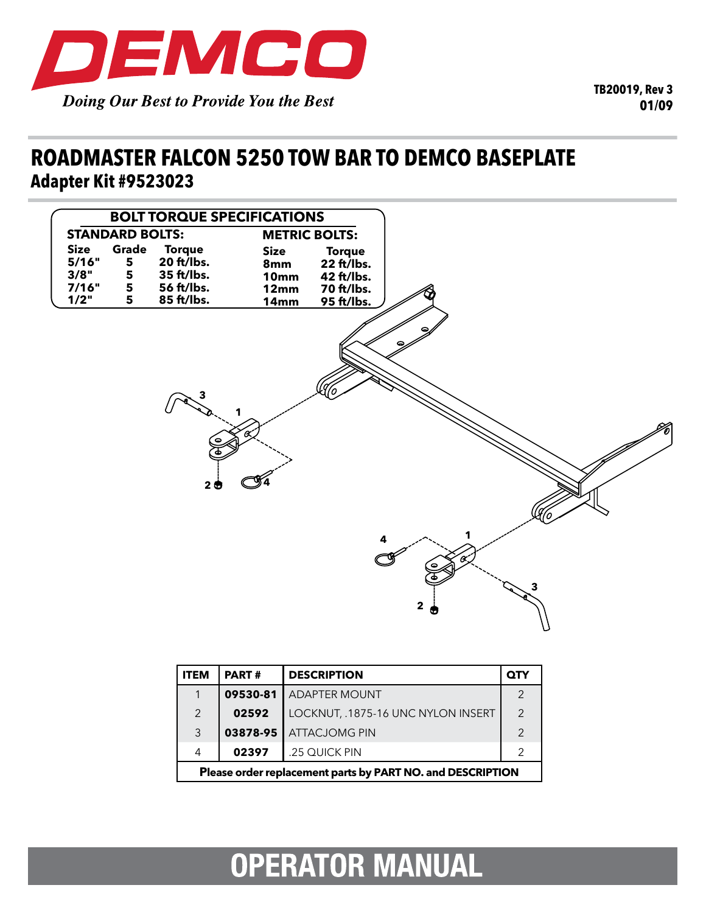

### **roadmaster falcon 5250 tow bar to demco baseplate Adapter Kit #9523023**



| ITEM                                                       | <b>PART#</b> | <b>DESCRIPTION</b>                 | QTY           |
|------------------------------------------------------------|--------------|------------------------------------|---------------|
| 1                                                          | 09530-81     | <b>ADAPTER MOUNT</b>               | $\mathcal{P}$ |
| $\mathcal{P}$                                              | 02592        | LOCKNUT, .1875-16 UNC NYLON INSERT | $\mathcal{P}$ |
| 3                                                          | 03878-95     | <b>ATTACJOMG PIN</b>               | 2             |
| 4                                                          | 02397        | .25 QUICK PIN                      | 2             |
| Please order replacement parts by PART NO. and DESCRIPTION |              |                                    |               |

# **OPERATOR MANUAL**